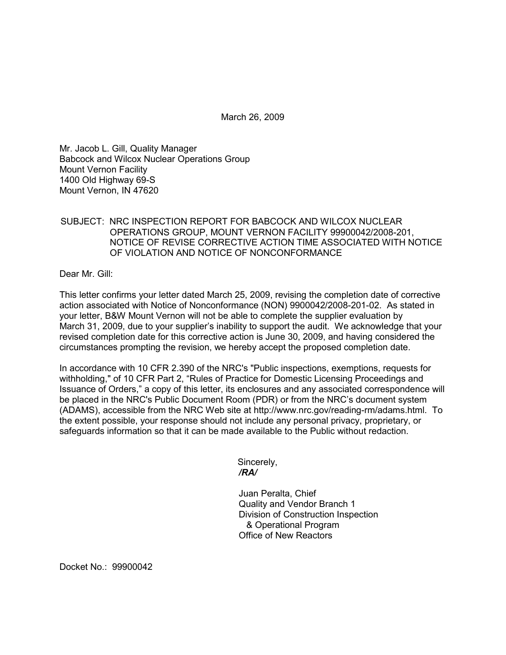March 26, 2009

Mr. Jacob L. Gill, Quality Manager Babcock and Wilcox Nuclear Operations Group Mount Vernon Facility 1400 Old Highway 69-S Mount Vernon, IN 47620

## SUBJECT: NRC INSPECTION REPORT FOR BABCOCK AND WILCOX NUCLEAR OPERATIONS GROUP, MOUNT VERNON FACILITY 99900042/2008-201, NOTICE OF REVISE CORRECTIVE ACTION TIME ASSOCIATED WITH NOTICE OF VIOLATION AND NOTICE OF NONCONFORMANCE

Dear Mr. Gill:

This letter confirms your letter dated March 25, 2009, revising the completion date of corrective action associated with Notice of Nonconformance (NON) 9900042/2008-201-02. As stated in your letter, B&W Mount Vernon will not be able to complete the supplier evaluation by March 31, 2009, due to your supplier's inability to support the audit. We acknowledge that your revised completion date for this corrective action is June 30, 2009, and having considered the circumstances prompting the revision, we hereby accept the proposed completion date.

In accordance with 10 CFR 2.390 of the NRC's "Public inspections, exemptions, requests for withholding," of 10 CFR Part 2, "Rules of Practice for Domestic Licensing Proceedings and Issuance of Orders," a copy of this letter, its enclosures and any associated correspondence will be placed in the NRC's Public Document Room (PDR) or from the NRC's document system (ADAMS), accessible from the NRC Web site at http://www.nrc.gov/reading-rm/adams.html. To the extent possible, your response should not include any personal privacy, proprietary, or safeguards information so that it can be made available to the Public without redaction.

> Sincerely, */RA/*

Juan Peralta, Chief Quality and Vendor Branch 1 Division of Construction Inspection & Operational Program Office of New Reactors

Docket No.: 99900042